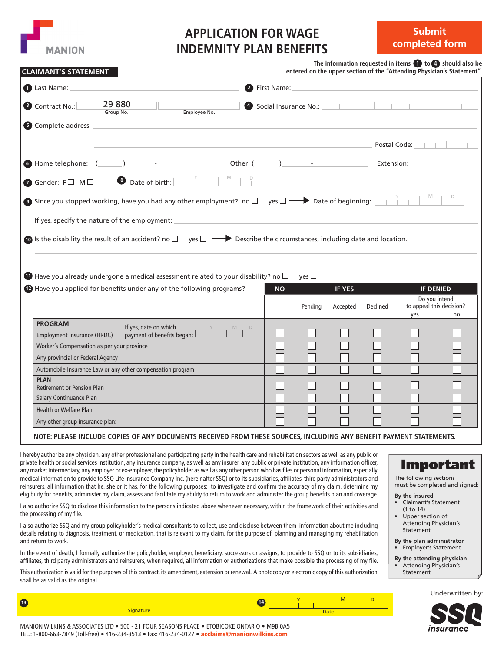## **APPLICATION FOR WAGE INDEMNITY PLAN BENEFITS**

**Submit completed form**

## **CLAIMANT'S STATEMENT**

| The information requested in items $\bigoplus$ to $\bigoplus$ should also be |  |
|------------------------------------------------------------------------------|--|
| tared on the unner section of the "Attending Physician's Statement"          |  |

| <b>CLAIMANT'S STATEMENT</b>                                                                                                                |                                                         |                                              |               |            | entered on the upper section of the "Attending Physician's Statement". |                                                 |
|--------------------------------------------------------------------------------------------------------------------------------------------|---------------------------------------------------------|----------------------------------------------|---------------|------------|------------------------------------------------------------------------|-------------------------------------------------|
| Last Name:                                                                                                                                 | 2 First Name:                                           |                                              |               |            |                                                                        |                                                 |
| 29 8 80<br>Contract No.:<br>Group No.<br>Employee No.                                                                                      |                                                         | 4 Social Insurance No.: <u>             </u> |               |            |                                                                        |                                                 |
| <b>5</b> Complete address:                                                                                                                 |                                                         |                                              |               |            |                                                                        |                                                 |
|                                                                                                                                            |                                                         |                                              |               |            | Postal Code:                                                           |                                                 |
| <b>Other:</b> (<br>6 Home telephone: (                                                                                                     | $\overline{\phantom{a}}$ ) and $\overline{\phantom{a}}$ |                                              |               | Extension: |                                                                        |                                                 |
| <b>8</b> Date of birth:    <br>Gender: FO MO                                                                                               |                                                         |                                              |               |            |                                                                        |                                                 |
| ● Since you stopped working, have you had any other employment? no $\Box$ yes $\Box$ → Date of beginning: $\Box$                           |                                                         |                                              |               |            |                                                                        |                                                 |
| If yes, specify the nature of the employment:                                                                                              |                                                         |                                              |               |            |                                                                        |                                                 |
| $\bullet$ is the disability the result of an accident? no $\square$ yes $\square$ Describe the circumstances, including date and location. |                                                         |                                              |               |            |                                                                        |                                                 |
| $\mathbf \Theta$ Have you already undergone a medical assessment related to your disability? no $\Box$                                     |                                                         | $\mathsf{yes} \,\Box$                        |               |            |                                                                        |                                                 |
| 12 Have you applied for benefits under any of the following programs?                                                                      | <b>NO</b>                                               |                                              | <b>IF YES</b> |            |                                                                        | <b>IF DENIED</b>                                |
|                                                                                                                                            |                                                         | Pending                                      | Accepted      | Declined   | yes                                                                    | Do you intend<br>to appeal this decision?<br>no |
| <b>PROGRAM</b><br>Y<br>$M$ D                                                                                                               |                                                         |                                              |               |            |                                                                        |                                                 |
| If yes, date on which<br>payment of benefits began: $\mathsf{\mathsf{L}}$<br>Employment Insurance (HRDC)                                   |                                                         |                                              |               |            |                                                                        |                                                 |
| Worker's Compensation as per your province                                                                                                 |                                                         |                                              |               |            |                                                                        |                                                 |
|                                                                                                                                            |                                                         |                                              |               |            |                                                                        |                                                 |
| Any provincial or Federal Agency                                                                                                           |                                                         |                                              |               |            |                                                                        |                                                 |
| Automobile Insurance Law or any other compensation program                                                                                 |                                                         |                                              |               |            |                                                                        |                                                 |
| <b>PLAN</b>                                                                                                                                |                                                         |                                              |               |            |                                                                        |                                                 |
| <b>Retirement or Pension Plan</b>                                                                                                          |                                                         |                                              |               |            |                                                                        |                                                 |
| <b>Salary Continuance Plan</b>                                                                                                             |                                                         |                                              |               |            |                                                                        |                                                 |
| <b>Health or Welfare Plan</b><br>Any other group insurance plan:                                                                           |                                                         |                                              |               |            |                                                                        |                                                 |

I hereby authorize any physician, any other professional and participating party in the health care and rehabilitation sectors as well as any public or private health or social services institution, any insurance company, as well as any insurer, any public or private institution, any information officer, any market intermediary, any employer or ex-employer, the policyholder as well as any other person who has files or personal information, especially medical information to provide to SSQ Life Insurance Company Inc. (hereinafter SSQ) or to its subsidiaries, affiliates, third party administrators and reinsurers, all information that he, she or it has, for the following purposes: to investigate and confirm the accuracy of my claim, determine my eligibility for benefits, administer my claim, assess and facilitate my ability to return to work and administer the group benefits plan and coverage.

I also authorize SSQ to disclose this information to the persons indicated above whenever necessary, within the framework of their activities and the processing of my file.

I also authorize SSQ and my group policyholder's medical consultants to collect, use and disclose between them information about me including details relating to diagnosis, treatment, or medication, that is relevant to my claim, for the purpose of planning and managing my rehabilitation and return to work.

In the event of death, I formally authorize the policyholder, employer, beneficiary, successors or assigns, to provide to SSQ or to its subsidiaries, affiliates, third party administrators and reinsurers, when required, all information or authorizations that make possible the processing of my file.

This authorization is valid for the purposes of this contract, its amendment, extension or renewal. A photocopy or electronic copy of this authorization shall be as valid as the original.

Signature Date Date of the Control of the Control of the Control of the Control of the Date

**Important** 

The following sections must be completed and signed:

**By the insured**

Y M D

- Claimant's Statement (1 to 14)
- Upper section of Attending Physician's **Statement**
- **By the plan administrator** • Employer's Statement
- **By the attending physician** • Attending Physician's Statement

Underwritten by:



MANION WILKINS & ASSOCIATES LTD • 500 - 21 FOUR SEASONS PLACE • ETOBICOKE ONTARIO • M9B 0A5 TEL.: 1-800-663-7849 (Toll-free) • 416-234-3513 • Fax: 416-234-0127 • acclaims@manionwilkins.com

**13 14**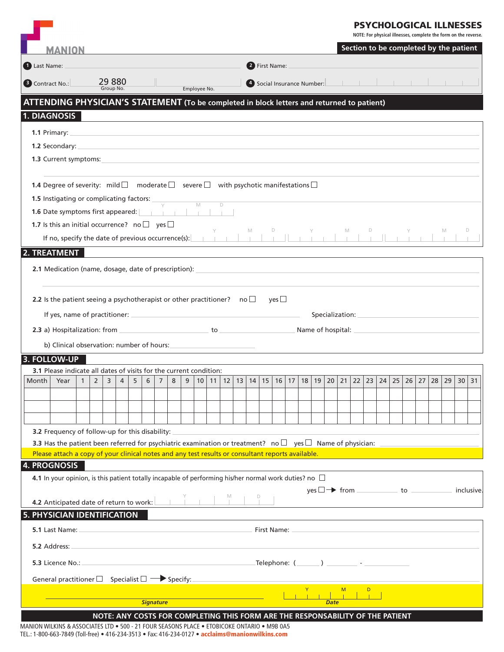## PSYCHOLOGICAL ILLNESSES

|                                                                                                        |                                                                                                                                     |              |                                                                                                                                                                 |                                                                                |        |   |                        |   |   |                 |    |    |  |       |    |              |    |                                         |  |                 |    |  |       |                                                |    |           |  | NOTE: For physical illnesses, complete the form on the reverse. |    |       |  |
|--------------------------------------------------------------------------------------------------------|-------------------------------------------------------------------------------------------------------------------------------------|--------------|-----------------------------------------------------------------------------------------------------------------------------------------------------------------|--------------------------------------------------------------------------------|--------|---|------------------------|---|---|-----------------|----|----|--|-------|----|--------------|----|-----------------------------------------|--|-----------------|----|--|-------|------------------------------------------------|----|-----------|--|-----------------------------------------------------------------|----|-------|--|
|                                                                                                        | <b>MANION</b>                                                                                                                       |              |                                                                                                                                                                 |                                                                                |        |   |                        |   |   |                 |    |    |  |       |    |              |    |                                         |  |                 |    |  |       |                                                |    |           |  | Section to be completed by the patient                          |    |       |  |
|                                                                                                        | Last Name:<br>2 First Name:                                                                                                         |              |                                                                                                                                                                 |                                                                                |        |   |                        |   |   |                 |    |    |  |       |    |              |    |                                         |  |                 |    |  |       |                                                |    |           |  |                                                                 |    |       |  |
| Contract No.:                                                                                          |                                                                                                                                     |              | 29 880<br>4 Social Insurance Number:<br>Group No.<br>Employee No.<br>ATTENDING PHYSICIAN'S STATEMENT (To be completed in block letters and returned to patient) |                                                                                |        |   |                        |   |   |                 |    |    |  |       |    |              |    |                                         |  |                 |    |  |       |                                                |    |           |  |                                                                 |    |       |  |
|                                                                                                        |                                                                                                                                     |              |                                                                                                                                                                 |                                                                                |        |   |                        |   |   |                 |    |    |  |       |    |              |    |                                         |  |                 |    |  |       |                                                |    |           |  |                                                                 |    |       |  |
|                                                                                                        | <b>1. DIAGNOSIS</b>                                                                                                                 |              |                                                                                                                                                                 |                                                                                |        |   |                        |   |   |                 |    |    |  |       |    |              |    |                                         |  |                 |    |  |       |                                                |    |           |  |                                                                 |    |       |  |
|                                                                                                        | 1.1 Primary:                                                                                                                        |              |                                                                                                                                                                 |                                                                                |        |   |                        |   |   |                 |    |    |  |       |    |              |    |                                         |  |                 |    |  |       |                                                |    |           |  |                                                                 |    |       |  |
|                                                                                                        |                                                                                                                                     |              |                                                                                                                                                                 |                                                                                |        |   |                        |   |   |                 |    |    |  |       |    |              |    |                                         |  |                 |    |  |       |                                                |    |           |  |                                                                 |    |       |  |
|                                                                                                        | 1.3 Current symptoms:                                                                                                               |              |                                                                                                                                                                 |                                                                                |        |   |                        |   |   |                 |    |    |  |       |    |              |    |                                         |  |                 |    |  |       |                                                |    |           |  |                                                                 |    |       |  |
|                                                                                                        | <b>1.4</b> Degree of severity: mild $\square$ moderate $\square$ severe $\square$ with psychotic manifestations $\square$           |              |                                                                                                                                                                 |                                                                                |        |   |                        |   |   |                 |    |    |  |       |    |              |    |                                         |  |                 |    |  |       |                                                |    |           |  |                                                                 |    |       |  |
| 1.5 Instigating or complicating factors:                                                               |                                                                                                                                     |              |                                                                                                                                                                 |                                                                                |        |   |                        |   |   |                 |    |    |  |       |    |              |    |                                         |  |                 |    |  |       |                                                |    |           |  |                                                                 |    |       |  |
|                                                                                                        | 1.6 Date symptoms first appeared:                                                                                                   |              |                                                                                                                                                                 |                                                                                |        |   | and the control of the |   |   | $\sim$ 1.000    |    |    |  |       |    |              |    |                                         |  |                 |    |  |       |                                                |    |           |  |                                                                 |    |       |  |
| <b>1.7</b> Is this an initial occurrence? no $\Box$ yes $\Box$<br>$\mathsf D$<br>M<br>M<br>D<br>M<br>D |                                                                                                                                     |              |                                                                                                                                                                 |                                                                                |        |   |                        |   |   |                 |    |    |  |       |    |              |    |                                         |  |                 |    |  |       |                                                |    |           |  |                                                                 |    |       |  |
|                                                                                                        | If no, specify the date of previous occurrence(s): 11111                                                                            |              |                                                                                                                                                                 |                                                                                |        |   |                        |   |   |                 |    |    |  |       |    |              |    |                                         |  |                 |    |  |       |                                                |    |           |  |                                                                 |    |       |  |
| 2. TREATMENT                                                                                           |                                                                                                                                     |              |                                                                                                                                                                 |                                                                                |        |   |                        |   |   |                 |    |    |  |       |    |              |    |                                         |  |                 |    |  |       |                                                |    |           |  |                                                                 |    |       |  |
|                                                                                                        | 2.1 Medication (name, dosage, date of prescription):                                                                                |              |                                                                                                                                                                 |                                                                                |        |   |                        |   |   |                 |    |    |  |       |    |              |    |                                         |  |                 |    |  |       |                                                |    |           |  |                                                                 |    |       |  |
|                                                                                                        | 2.2 Is the patient seeing a psychotherapist or other practitioner? no $\Box$                                                        |              |                                                                                                                                                                 |                                                                                |        |   |                        |   |   |                 |    |    |  |       |    | $ves$ $\Box$ |    |                                         |  |                 |    |  |       |                                                |    |           |  |                                                                 |    |       |  |
|                                                                                                        |                                                                                                                                     |              |                                                                                                                                                                 |                                                                                |        |   |                        |   |   |                 |    |    |  |       |    |              |    |                                         |  |                 |    |  |       | Specialization: Network of the Specialization: |    |           |  |                                                                 |    |       |  |
| Name of hospital:<br>to to                                                                             |                                                                                                                                     |              |                                                                                                                                                                 |                                                                                |        |   |                        |   |   |                 |    |    |  |       |    |              |    |                                         |  |                 |    |  |       |                                                |    |           |  |                                                                 |    |       |  |
|                                                                                                        | b) Clinical observation: number of hours:                                                                                           |              |                                                                                                                                                                 |                                                                                |        |   |                        |   |   |                 |    |    |  |       |    |              |    |                                         |  |                 |    |  |       |                                                |    |           |  |                                                                 |    |       |  |
| 3. FOLLOW-UP                                                                                           |                                                                                                                                     |              |                                                                                                                                                                 |                                                                                |        |   |                        |   |   |                 |    |    |  |       |    |              |    |                                         |  |                 |    |  |       |                                                |    |           |  |                                                                 |    |       |  |
|                                                                                                        | 3.1 Please indicate all dates of visits for the current condition:                                                                  |              |                                                                                                                                                                 |                                                                                |        |   |                        |   |   |                 |    |    |  |       |    |              |    |                                         |  |                 |    |  |       |                                                |    |           |  |                                                                 |    |       |  |
| Month                                                                                                  | Year                                                                                                                                | $\mathbf{1}$ | $\overline{2}$                                                                                                                                                  | 3                                                                              | 5<br>4 | 6 | $\overline{7}$         | 8 | 9 | 10 <sup>1</sup> | 11 | 12 |  | 13 14 | 15 | 16           | 17 | 18 19                                   |  | 20 <sub>1</sub> | 21 |  | 22 23 | 24                                             | 25 | $26$   27 |  | 28                                                              | 29 | 30 31 |  |
|                                                                                                        |                                                                                                                                     |              |                                                                                                                                                                 |                                                                                |        |   |                        |   |   |                 |    |    |  |       |    |              |    |                                         |  |                 |    |  |       |                                                |    |           |  |                                                                 |    |       |  |
|                                                                                                        |                                                                                                                                     |              |                                                                                                                                                                 |                                                                                |        |   |                        |   |   |                 |    |    |  |       |    |              |    |                                         |  |                 |    |  |       |                                                |    |           |  |                                                                 |    |       |  |
|                                                                                                        | 3.2 Frequency of follow-up for this disability:                                                                                     |              |                                                                                                                                                                 |                                                                                |        |   |                        |   |   |                 |    |    |  |       |    |              |    |                                         |  |                 |    |  |       |                                                |    |           |  |                                                                 |    |       |  |
|                                                                                                        | 3.3 Has the patient been referred for psychiatric examination or treatment? $\mathsf{no} \Box \mathsf{yes} \Box$ Name of physician: |              |                                                                                                                                                                 |                                                                                |        |   |                        |   |   |                 |    |    |  |       |    |              |    |                                         |  |                 |    |  |       |                                                |    |           |  |                                                                 |    |       |  |
|                                                                                                        | Please attach a copy of your clinical notes and any test results or consultant reports available.                                   |              |                                                                                                                                                                 |                                                                                |        |   |                        |   |   |                 |    |    |  |       |    |              |    |                                         |  |                 |    |  |       |                                                |    |           |  |                                                                 |    |       |  |
| <b>4. PROGNOSIS</b>                                                                                    |                                                                                                                                     |              |                                                                                                                                                                 |                                                                                |        |   |                        |   |   |                 |    |    |  |       |    |              |    |                                         |  |                 |    |  |       |                                                |    |           |  |                                                                 |    |       |  |
|                                                                                                        | 4.1 In your opinion, is this patient totally incapable of performing his/her normal work duties? no $\Box$                          |              |                                                                                                                                                                 |                                                                                |        |   |                        |   |   |                 |    |    |  |       |    |              |    |                                         |  |                 |    |  |       |                                                |    |           |  |                                                                 |    |       |  |
|                                                                                                        |                                                                                                                                     |              |                                                                                                                                                                 |                                                                                |        |   |                        |   |   |                 |    |    |  |       |    |              |    |                                         |  |                 |    |  |       |                                                |    |           |  |                                                                 |    |       |  |
| <b>5. PHYSICIAN IDENTIFICATION</b>                                                                     | 4.2 Anticipated date of return to work:                                                                                             |              |                                                                                                                                                                 |                                                                                |        |   |                        |   |   |                 |    |    |  |       |    |              |    |                                         |  |                 |    |  |       |                                                |    |           |  |                                                                 |    |       |  |
|                                                                                                        | 5.1 Last Name:                                                                                                                      |              |                                                                                                                                                                 |                                                                                |        |   |                        |   |   |                 |    |    |  |       |    | First Name:  |    |                                         |  |                 |    |  |       |                                                |    |           |  |                                                                 |    |       |  |
|                                                                                                        | 5.2 Address:                                                                                                                        |              |                                                                                                                                                                 |                                                                                |        |   |                        |   |   |                 |    |    |  |       |    |              |    |                                         |  |                 |    |  |       |                                                |    |           |  |                                                                 |    |       |  |
|                                                                                                        | 5.3 Licence No.:                                                                                                                    |              |                                                                                                                                                                 |                                                                                |        |   |                        |   |   |                 |    |    |  |       |    |              |    | $\Box$ Telephone: (__________________ - |  |                 |    |  |       |                                                |    |           |  |                                                                 |    |       |  |
|                                                                                                        | General practitioner $\Box$ Specialist $\Box \longrightarrow$ Specify:                                                              |              |                                                                                                                                                                 |                                                                                |        |   |                        |   |   |                 |    |    |  |       |    |              |    |                                         |  |                 |    |  |       |                                                |    |           |  |                                                                 |    |       |  |
|                                                                                                        |                                                                                                                                     |              |                                                                                                                                                                 |                                                                                |        |   |                        |   |   |                 |    |    |  |       |    |              |    |                                         |  |                 |    |  | D     |                                                |    |           |  |                                                                 |    |       |  |
|                                                                                                        |                                                                                                                                     |              |                                                                                                                                                                 |                                                                                |        |   | <b>Signature</b>       |   |   |                 |    |    |  |       |    |              |    |                                         |  | <b>Date</b>     |    |  |       |                                                |    |           |  |                                                                 |    |       |  |
|                                                                                                        |                                                                                                                                     |              |                                                                                                                                                                 | NOTE: ANY COSTS FOR COMPLETING THIS FORM ARE THE RESPONSABILITY OF THE PATIENT |        |   |                        |   |   |                 |    |    |  |       |    |              |    |                                         |  |                 |    |  |       |                                                |    |           |  |                                                                 |    |       |  |

MANION WILKINS & ASSOCIATES LTD • 500 - 21 FOUR SEASONS PLACE • ETOBICOKE ONTARIO • M9B 0A5 TEL.: 1-800-663-7849 (Toll-free) • 416-234-3513 • Fax: 416-234-0127 • acclaims@manionwilkins.com